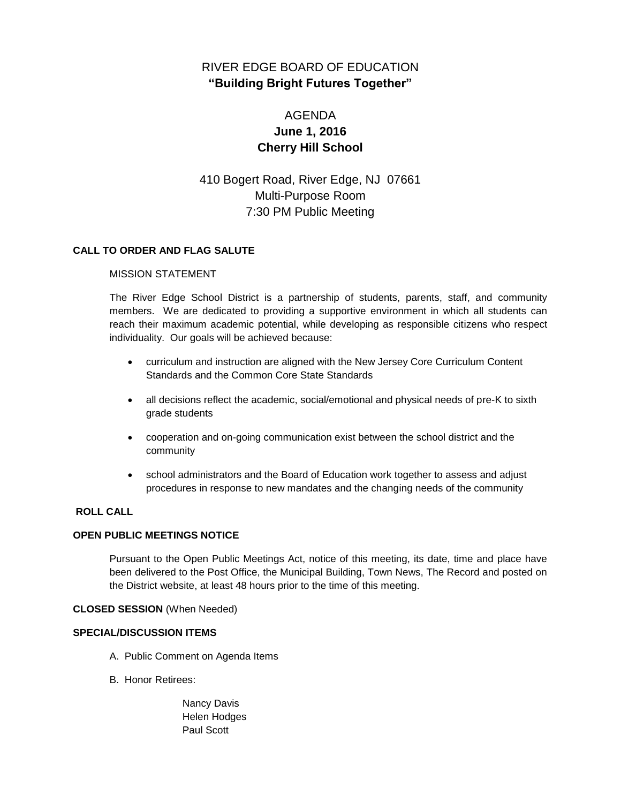# RIVER EDGE BOARD OF EDUCATION **"Building Bright Futures Together"**

# AGENDA **June 1, 2016 Cherry Hill School**

410 Bogert Road, River Edge, NJ 07661 Multi-Purpose Room 7:30 PM Public Meeting

# **CALL TO ORDER AND FLAG SALUTE**

#### MISSION STATEMENT

The River Edge School District is a partnership of students, parents, staff, and community members. We are dedicated to providing a supportive environment in which all students can reach their maximum academic potential, while developing as responsible citizens who respect individuality. Our goals will be achieved because:

- curriculum and instruction are aligned with the New Jersey Core Curriculum Content Standards and the Common Core State Standards
- all decisions reflect the academic, social/emotional and physical needs of pre-K to sixth grade students
- cooperation and on-going communication exist between the school district and the community
- school administrators and the Board of Education work together to assess and adjust procedures in response to new mandates and the changing needs of the community

# **ROLL CALL**

# **OPEN PUBLIC MEETINGS NOTICE**

Pursuant to the Open Public Meetings Act, notice of this meeting, its date, time and place have been delivered to the Post Office, the Municipal Building, Town News, The Record and posted on the District website, at least 48 hours prior to the time of this meeting.

#### **CLOSED SESSION** (When Needed)

# **SPECIAL/DISCUSSION ITEMS**

- A. Public Comment on Agenda Items
- B. Honor Retirees:
	- Nancy Davis Helen Hodges Paul Scott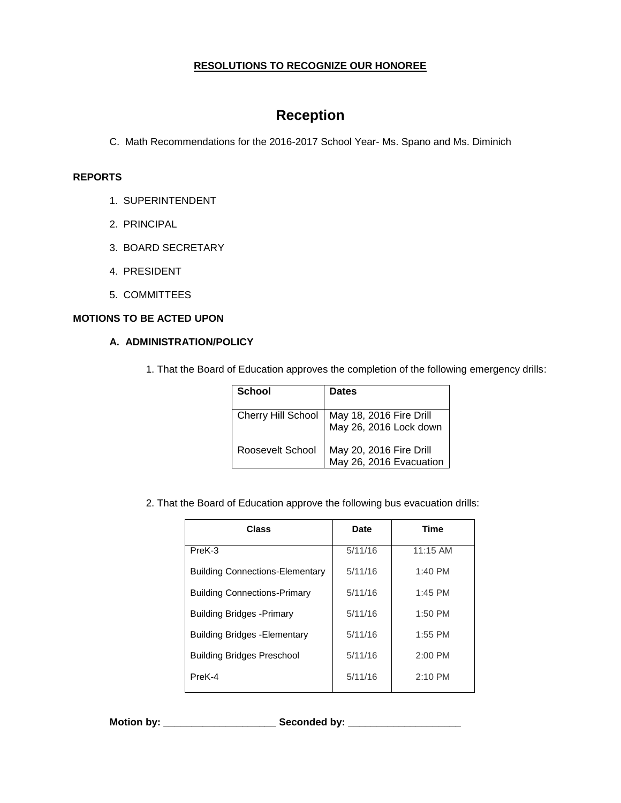# **RESOLUTIONS TO RECOGNIZE OUR HONOREE**

# **Reception**

C. Math Recommendations for the 2016-2017 School Year- Ms. Spano and Ms. Diminich

#### **REPORTS**

- 1. SUPERINTENDENT
- 2. PRINCIPAL
- 3. BOARD SECRETARY
- 4. PRESIDENT
- 5. COMMITTEES

# **MOTIONS TO BE ACTED UPON**

# **A. ADMINISTRATION/POLICY**

1. That the Board of Education approves the completion of the following emergency drills:

| <b>School</b>      | Dates                                              |
|--------------------|----------------------------------------------------|
| Cherry Hill School | May 18, 2016 Fire Drill<br>May 26, 2016 Lock down  |
| Roosevelt School   | May 20, 2016 Fire Drill<br>May 26, 2016 Evacuation |

2. That the Board of Education approve the following bus evacuation drills:

| <b>Class</b>                           | <b>Date</b> | <b>Time</b> |
|----------------------------------------|-------------|-------------|
| PreK-3                                 | 5/11/16     | $11:15$ AM  |
| <b>Building Connections-Elementary</b> | 5/11/16     | $1:40$ PM   |
| <b>Building Connections-Primary</b>    | 5/11/16     | $1:45$ PM   |
| <b>Building Bridges - Primary</b>      | 5/11/16     | $1:50$ PM   |
| <b>Building Bridges - Elementary</b>   | 5/11/16     | $1:55$ PM   |
| <b>Building Bridges Preschool</b>      | 5/11/16     | $2:00$ PM   |
| PreK-4                                 | 5/11/16     | 2:10 PM     |
|                                        |             |             |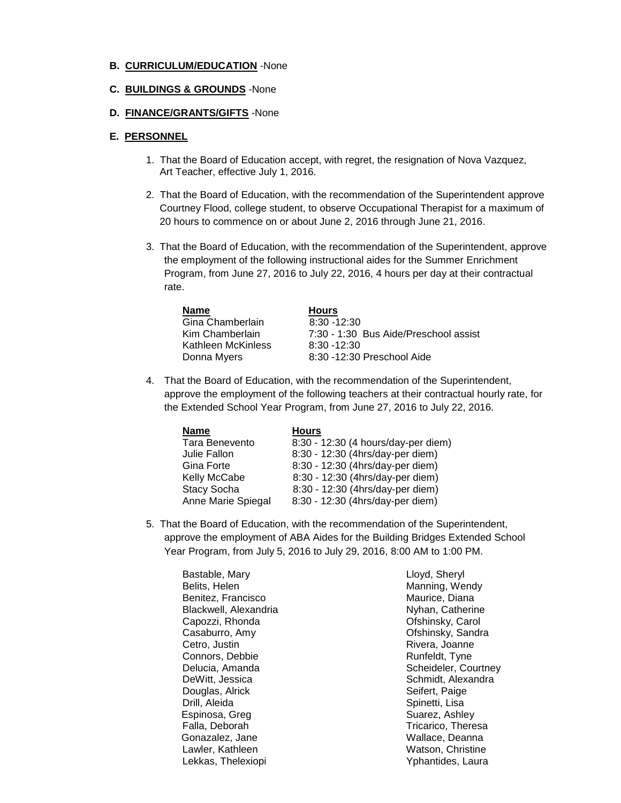#### **B. CURRICULUM/EDUCATION** -None

#### **C. BUILDINGS & GROUNDS** -None

#### **D. FINANCE/GRANTS/GIFTS** -None

#### **E. PERSONNEL**

- 1. That the Board of Education accept, with regret, the resignation of Nova Vazquez, Art Teacher, effective July 1, 2016.
- 2. That the Board of Education, with the recommendation of the Superintendent approve Courtney Flood, college student, to observe Occupational Therapist for a maximum of 20 hours to commence on or about June 2, 2016 through June 21, 2016.
- 3. That the Board of Education, with the recommendation of the Superintendent, approve the employment of the following instructional aides for the Summer Enrichment Program, from June 27, 2016 to July 22, 2016, 4 hours per day at their contractual rate.

| <b>Name</b>        | <b>Hours</b>                          |
|--------------------|---------------------------------------|
| Gina Chamberlain   | $8:30 - 12:30$                        |
| Kim Chamberlain    | 7:30 - 1:30 Bus Aide/Preschool assist |
| Kathleen McKinless | $8:30 - 12:30$                        |
| Donna Myers        | 8:30 -12:30 Preschool Aide            |
|                    |                                       |

4. That the Board of Education, with the recommendation of the Superintendent, approve the employment of the following teachers at their contractual hourly rate, for the Extended School Year Program, from June 27, 2016 to July 22, 2016.

| <b>Name</b>        | <b>Hours</b>                        |
|--------------------|-------------------------------------|
| Tara Benevento     | 8:30 - 12:30 (4 hours/day-per diem) |
| Julie Fallon       | 8:30 - 12:30 (4hrs/day-per diem)    |
| Gina Forte         | 8:30 - 12:30 (4hrs/day-per diem)    |
| Kelly McCabe       | 8:30 - 12:30 (4hrs/day-per diem)    |
| <b>Stacy Socha</b> | 8:30 - 12:30 (4hrs/day-per diem)    |
| Anne Marie Spiegal | 8:30 - 12:30 (4hrs/day-per diem)    |

5. That the Board of Education, with the recommendation of the Superintendent, approve the employment of ABA Aides for the Building Bridges Extended School Year Program, from July 5, 2016 to July 29, 2016, 8:00 AM to 1:00 PM.

Bastable, Mary Belits, Helen Benitez, Francisco Blackwell, Alexandria Capozzi, Rhonda Casaburro, Amy Cetro, Justin Connors, Debbie Delucia, Amanda DeWitt, Jessica Douglas, Alrick Drill, Aleida Espinosa, Greg Falla, Deborah Gonazalez, Jane Lawler, Kathleen Lekkas, Thelexiopi

Lloyd, Sheryl Manning, Wendy Maurice, Diana Nyhan, Catherine Ofshinsky, Carol Ofshinsky, Sandra Rivera, Joanne Runfeldt, Tyne Scheideler, Courtney Schmidt, Alexandra Seifert, Paige Spinetti, Lisa Suarez, Ashley Tricarico, Theresa Wallace, Deanna Watson, Christine Yphantides, Laura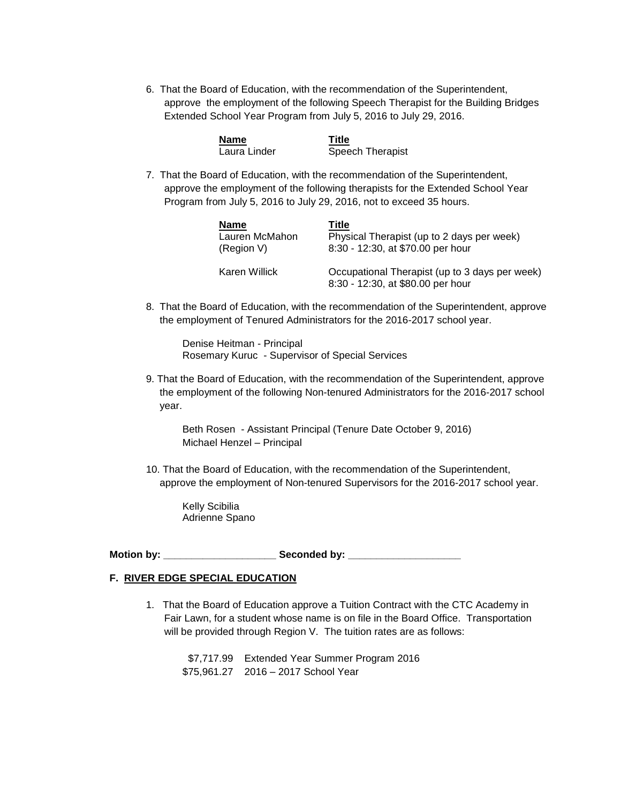6. That the Board of Education, with the recommendation of the Superintendent, approve the employment of the following Speech Therapist for the Building Bridges Extended School Year Program from July 5, 2016 to July 29, 2016.

| Name         | <b>Title</b>     |
|--------------|------------------|
| Laura Linder | Speech Therapist |

7. That the Board of Education, with the recommendation of the Superintendent, approve the employment of the following therapists for the Extended School Year Program from July 5, 2016 to July 29, 2016, not to exceed 35 hours.

| Name           | Title                                                                               |
|----------------|-------------------------------------------------------------------------------------|
| Lauren McMahon | Physical Therapist (up to 2 days per week)                                          |
| (Region V)     | 8:30 - 12:30, at \$70.00 per hour                                                   |
| Karen Willick  | Occupational Therapist (up to 3 days per week)<br>8:30 - 12:30, at \$80.00 per hour |

8. That the Board of Education, with the recommendation of the Superintendent, approve the employment of Tenured Administrators for the 2016-2017 school year.

Denise Heitman - Principal Rosemary Kuruc - Supervisor of Special Services

9. That the Board of Education, with the recommendation of the Superintendent, approve the employment of the following Non-tenured Administrators for the 2016-2017 school year.

Beth Rosen - Assistant Principal (Tenure Date October 9, 2016) Michael Henzel – Principal

10. That the Board of Education, with the recommendation of the Superintendent, approve the employment of Non-tenured Supervisors for the 2016-2017 school year.

Kelly Scibilia Adrienne Spano

**Motion by: \_\_\_\_\_\_\_\_\_\_\_\_\_\_\_\_\_\_\_\_ Seconded by: \_\_\_\_\_\_\_\_\_\_\_\_\_\_\_\_\_\_\_\_**

# **F. RIVER EDGE SPECIAL EDUCATION**

1. That the Board of Education approve a Tuition Contract with the CTC Academy in Fair Lawn, for a student whose name is on file in the Board Office. Transportation will be provided through Region V. The tuition rates are as follows:

\$7,717.99 Extended Year Summer Program 2016 \$75,961.27 2016 – 2017 School Year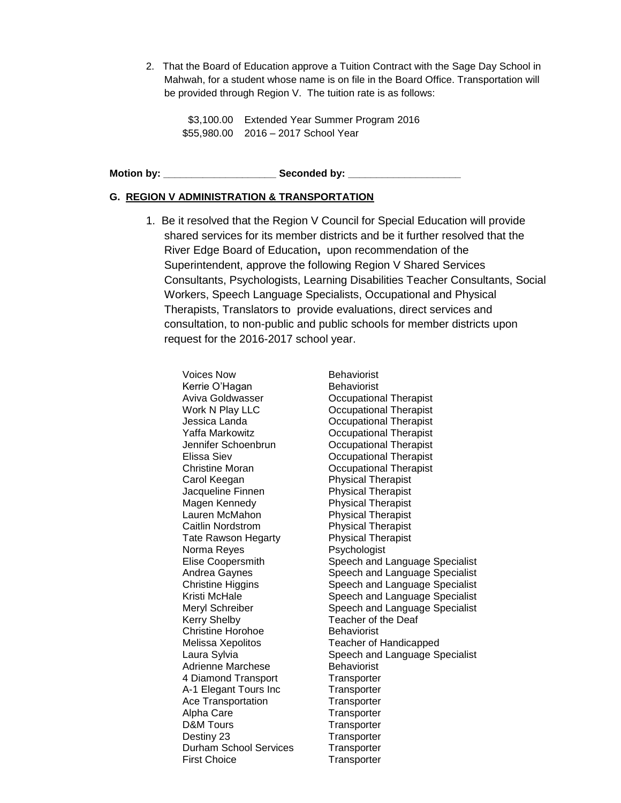2. That the Board of Education approve a Tuition Contract with the Sage Day School in Mahwah, for a student whose name is on file in the Board Office. Transportation will be provided through Region V. The tuition rate is as follows:

\$3,100.00 Extended Year Summer Program 2016 \$55,980.00 2016 – 2017 School Year

Motion by: **We also also seemand by:** Seconded by:

#### **G. REGION V ADMINISTRATION & TRANSPORTATION**

1. Be it resolved that the Region V Council for Special Education will provide shared services for its member districts and be it further resolved that the River Edge Board of Education**,** upon recommendation of the Superintendent, approve the following Region V Shared Services Consultants, Psychologists, Learning Disabilities Teacher Consultants, Social Workers, Speech Language Specialists, Occupational and Physical Therapists, Translators to provide evaluations, direct services and consultation, to non-public and public schools for member districts upon request for the 2016-2017 school year.

Voices Now **Behaviorist** Kerrie O'Hagan Behaviorist Aviva Goldwasser Occupational Therapist Work N Play LLC **Communist** Occupational Therapist Jessica Landa Occupational Therapist Yaffa Markowitz Occupational Therapist Jennifer Schoenbrun Occupational Therapist Elissa Siev Occupational Therapist Christine Moran Occupational Therapist Carol Keegan **Physical Therapist**<br>
Jacqueline Finnen Physical Therapist Jacqueline Finnen Magen Kennedy Physical Therapist Lauren McMahon Physical Therapist Caitlin Nordstrom Physical Therapist Tate Rawson Hegarty Physical Therapist Norma Reyes **Psychologist** Kerry Shelby Teacher of the Deaf Christine Horohoe Behaviorist Adrienne Marchese Behaviorist 4 Diamond Transport Transporter A-1 Elegant Tours Inc Transporter Ace Transportation Transporter Alpha Care Transporter D&M Tours Transporter Destiny 23 Transporter Durham School Services Transporter First Choice **Transporter** 

Elise Coopersmith Speech and Language Specialist Andrea Gaynes Speech and Language Specialist Christine Higgins Speech and Language Specialist Kristi McHale Speech and Language Specialist Meryl Schreiber Speech and Language Specialist Melissa Xepolitos Teacher of Handicapped Laura Sylvia Speech and Language Specialist